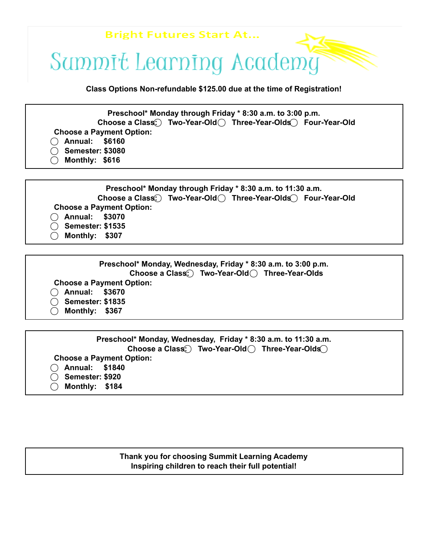

**Class Options Non-refundable \$125.00 due at the time of Registration!**

**Preschool\* Monday through Friday \* 8:30 a.m. to 3:00 p.m. Choose a Class: ⃝Two-Year-Old ⃝Three-Year-Olds ⃝Four-Year-Old Choose a Payment Option: ⃝Annual: \$6160 ⃝Semester: \$3080 ⃝Monthly: \$616**



| Preschool* Monday, Wednesday, Friday * 8:30 a.m. to 3:00 p.m. |  |  |
|---------------------------------------------------------------|--|--|
| Choose a Class. Two-Year-Old Three-Year-Olds                  |  |  |
| <b>Choose a Payment Option:</b>                               |  |  |
| $\bigcap$ Annual: \$3670                                      |  |  |
| ◯ Semester: \$1835                                            |  |  |
| Monthly: \$367                                                |  |  |

| Preschool* Monday, Wednesday, Friday * 8:30 a.m. to 11:30 a.m. |
|----------------------------------------------------------------|
| Choose a Class: Two-Year-Old () Three-Year-Olds                |
| <b>Choose a Payment Option:</b>                                |
| ◯ Annual: \$1840                                               |
| ◯ Semester: \$920                                              |
| Monthly: \$184                                                 |
|                                                                |

### **Thank you for choosing Summit Learning Academy Inspiring children to reach their full potential!**